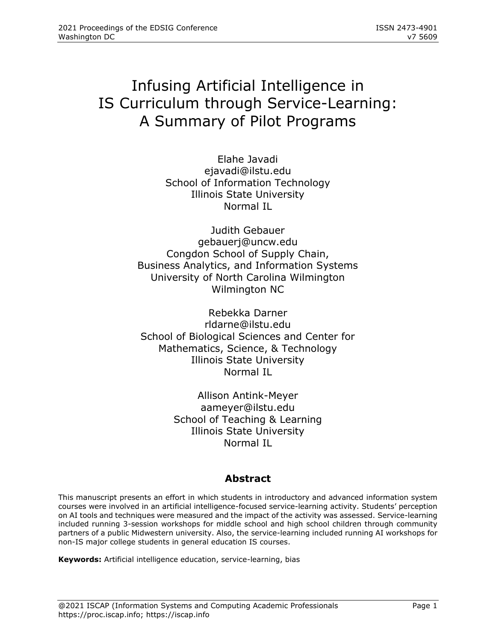# Infusing Artificial Intelligence in IS Curriculum through Service-Learning: A Summary of Pilot Programs

Elahe Javadi [ejavadi@ilstu.edu](mailto:ejavadi@ilstu.edu) School of Information Technology Illinois State University Normal IL

Judith Gebauer [gebauerj@uncw.edu](mailto:gebauerj@uncw.edu) Congdon School of Supply Chain, Business Analytics, and Information Systems University of North Carolina Wilmington Wilmington NC

Rebekka Darner [rldarne@ilstu.edu](mailto:rldarne@ilstu.edu) School of Biological Sciences and Center for Mathematics, Science, & Technology Illinois State University Normal IL

> Allison Antink-Meyer [aameyer@ilstu.edu](mailto:aameyer@ilstu.edu) School of Teaching & Learning Illinois State University Normal IL

# **Abstract**

This manuscript presents an effort in which students in introductory and advanced information system courses were involved in an artificial intelligence-focused service-learning activity. Students' perception on AI tools and techniques were measured and the impact of the activity was assessed. Service-learning included running 3-session workshops for middle school and high school children through community partners of a public Midwestern university. Also, the service-learning included running AI workshops for non-IS major college students in general education IS courses.

**Keywords:** Artificial intelligence education, service-learning, bias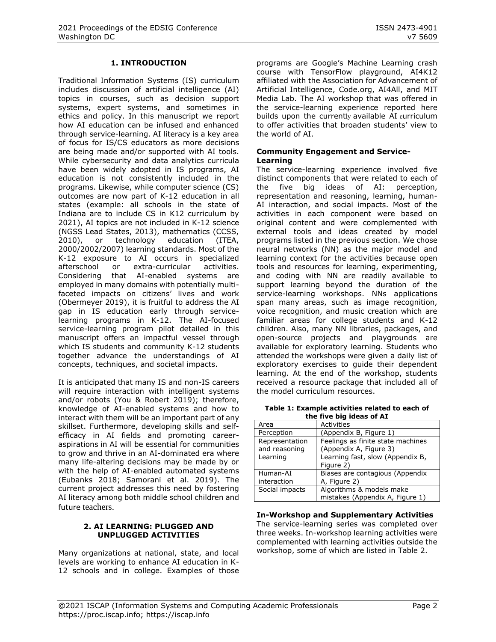#### **1. INTRODUCTION**

Traditional Information Systems (IS) curriculum includes discussion of artificial intelligence (AI) topics in courses, such as decision support systems, expert systems, and sometimes in ethics and policy. In this manuscript we report how AI education can be infused and enhanced through service-learning. AI literacy is a key area of focus for IS/CS educators as more decisions are being made and/or supported with AI tools. While cybersecurity and data analytics curricula have been widely adopted in IS programs, AI education is not consistently included in the programs. Likewise, while computer science (CS) outcomes are now part of K-12 education in all states (example: all schools in the state of Indiana are to include CS in K12 curriculum by 2021), AI topics are not included in K-12 science (NGSS Lead States, 2013), mathematics (CCSS, 2010), or technology education (ITEA, 2000/2002/2007) learning standards. Most of the K-12 exposure to AI occurs in specialized afterschool or extra-curricular activities. Considering that AI-enabled systems are employed in many domains with potentially multifaceted impacts on citizens' lives and work (Obermeyer 2019), it is fruitful to address the AI gap in IS education early through servicelearning programs in K-12. The AI-focused service-learning program pilot detailed in this manuscript offers an impactful vessel through which IS students and community K-12 students together advance the understandings of AI concepts, techniques, and societal impacts.

It is anticipated that many IS and non-IS careers will require interaction with intelligent systems and/or robots (You & Robert 2019); therefore, knowledge of AI-enabled systems and how to interact with them will be an important part of any skillset. Furthermore, developing skills and selfefficacy in AI fields and promoting careeraspirations in AI will be essential for communities to grow and thrive in an AI-dominated era where many life-altering decisions may be made by or with the help of AI-enabled automated systems (Eubanks 2018; Samorani et al. 2019). The current project addresses this need by fostering AI literacy among both middle school children and future teachers.

#### **2. AI LEARNING: PLUGGED AND UNPLUGGED ACTIVITIES**

Many organizations at national, state, and local levels are working to enhance AI education in K-12 schools and in college. Examples of those

programs are Google's Machine Learning crash course with TensorFlow playground, AI4K12 affiliated with the Association for Advancement of Artificial Intelligence, Code.org, AI4All, and MIT Media Lab. The AI workshop that was offered in the service-learning experience reported here builds upon the currently available AI curriculum to offer activities that broaden students' view to the world of AI.

#### **Community Engagement and Service-Learning**

The service-learning experience involved five distinct components that were related to each of the five big ideas of AI: perception, representation and reasoning, learning, human-AI interaction, and social impacts. Most of the activities in each component were based on original content and were complemented with external tools and ideas created by model programs listed in the previous section. We chose neural networks (NN) as the major model and learning context for the activities because open tools and resources for learning, experimenting, and coding with NN are readily available to support learning beyond the duration of the service-learning workshops. NNs applications span many areas, such as image recognition, voice recognition, and music creation which are familiar areas for college students and K-12 children. Also, many NN libraries, packages, and open-source projects and playgrounds are available for exploratory learning. Students who attended the workshops were given a daily list of exploratory exercises to guide their dependent learning. At the end of the workshop, students received a resource package that included all of the model curriculum resources.

| Table 1: Example activities related to each of |  |  |  |  |
|------------------------------------------------|--|--|--|--|
| the five big ideas of AI                       |  |  |  |  |

| Area                            | <b>Activities</b>                                           |
|---------------------------------|-------------------------------------------------------------|
| Perception                      | (Appendix B, Figure 1)                                      |
| Representation<br>and reasoning | Feelings as finite state machines<br>(Appendix A, Figure 3) |
| Learning                        | Learning fast, slow (Appendix B,<br>Figure 2)               |
| Human-AI<br>interaction         | Biases are contagious (Appendix<br>A, Figure 2)             |
| Social impacts                  | Algorithms & models make<br>mistakes (Appendix A, Figure 1) |

**In-Workshop and Supplementary Activities**

The service-learning series was completed over three weeks. In-workshop learning activities were complemented with learning activities outside the workshop, some of which are listed in Table 2.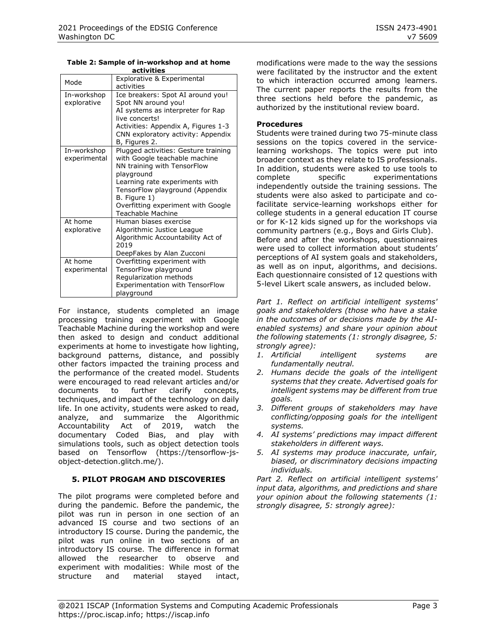**Table 2: Sample of in-workshop and at home activities** 

| Mode                        | Explorative & Experimental<br>activities                                                                                                                                                                                                                                  |
|-----------------------------|---------------------------------------------------------------------------------------------------------------------------------------------------------------------------------------------------------------------------------------------------------------------------|
| In-workshop<br>explorative  | Ice breakers: Spot AI around you!<br>Spot NN around you!<br>AI systems as interpreter for Rap<br>live concerts!<br>Activities: Appendix A, Figures 1-3<br>CNN exploratory activity: Appendix<br>B, Figures 2.                                                             |
| In-workshop<br>experimental | Plugged activities: Gesture training<br>with Google teachable machine<br>NN training with TensorFlow<br>playground<br>Learning rate experiments with<br>TensorFlow playground (Appendix<br>B. Figure 1)<br>Overfitting experiment with Google<br><b>Teachable Machine</b> |
| At home<br>explorative      | Human biases exercise<br>Algorithmic Justice League<br>Algorithmic Accountability Act of<br>2019<br>DeepFakes by Alan Zucconi                                                                                                                                             |
| At home<br>experimental     | Overfitting experiment with<br>TensorFlow playground<br>Regularization methods<br>Experimentation with TensorFlow<br>playground                                                                                                                                           |

For instance, students completed an image processing training experiment with Google Teachable Machine during the workshop and were then asked to design and conduct additional experiments at home to investigate how lighting, background patterns, distance, and possibly other factors impacted the training process and the performance of the created model. Students were encouraged to read relevant articles and/or documents to further clarify concepts, techniques, and impact of the technology on daily life. In one activity, students were asked to read, analyze, and summarize the Algorithmic Accountability Act of 2019, watch the documentary Coded Bias, and play with simulations tools, such as object detection tools based on Tensorflow (https://tensorflow-jsobject-detection.glitch.me/).

## **5. PILOT PROGAM AND DISCOVERIES**

The pilot programs were completed before and during the pandemic. Before the pandemic, the pilot was run in person in one section of an advanced IS course and two sections of an introductory IS course. During the pandemic, the pilot was run online in two sections of an introductory IS course. The difference in format allowed the researcher to observe and experiment with modalities: While most of the structure and material stayed intact, modifications were made to the way the sessions were facilitated by the instructor and the extent to which interaction occurred among learners. The current paper reports the results from the three sections held before the pandemic, as authorized by the institutional review board.

#### **Procedures**

Students were trained during two 75-minute class sessions on the topics covered in the servicelearning workshops. The topics were put into broader context as they relate to IS professionals. In addition, students were asked to use tools to complete specific experimentations independently outside the training sessions. The students were also asked to participate and cofacilitate service-learning workshops either for college students in a general education IT course or for K-12 kids signed up for the workshops via community partners (e.g., Boys and Girls Club). Before and after the workshops, questionnaires were used to collect information about students' perceptions of AI system goals and stakeholders, as well as on input, algorithms, and decisions. Each questionnaire consisted of 12 questions with 5-level Likert scale answers, as included below.

*Part 1. Reflect on artificial intelligent systems' goals and stakeholders (those who have a stake in the outcomes of or decisions made by the AIenabled systems) and share your opinion about the following statements (1: strongly disagree, 5: strongly agree):*

- *1. Artificial intelligent systems are fundamentally neutral.*
- *2. Humans decide the goals of the intelligent systems that they create. Advertised goals for intelligent systems may be different from true goals.*
- *3. Different groups of stakeholders may have conflicting/opposing goals for the intelligent systems.*
- *4. AI systems' predictions may impact different stakeholders in different ways.*
- *5. AI systems may produce inaccurate, unfair, biased, or discriminatory decisions impacting individuals.*

*Part 2. Reflect on artificial intelligent systems' input data, algorithms, and predictions and share your opinion about the following statements (1: strongly disagree, 5: strongly agree):*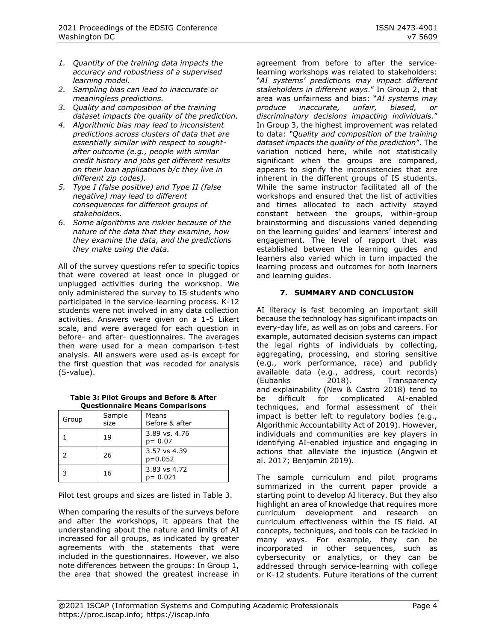- *1. Quantity of the training data impacts the accuracy and robustness of a supervised learning model.*
- *2. Sampling bias can lead to inaccurate or meaningless predictions.*
- *3. Quality and composition of the training dataset impacts the quality of the prediction.*
- *4. Algorithmic bias may lead to inconsistent predictions across clusters of data that are essentially similar with respect to soughtafter outcome (e.g., people with similar credit history and jobs get different results on their loan applications b/c they live in different zip codes).*
- *5. Type I (false positive) and Type II (false negative) may lead to different consequences for different groups of stakeholders.*
- *6. Some algorithms are riskier because of the nature of the data that they examine, how they examine the data, and the predictions they make using the data.*

All of the survey questions refer to specific topics that were covered at least once in plugged or unplugged activities during the workshop. We only administered the survey to IS students who participated in the service-learning process. K-12 students were not involved in any data collection activities. Answers were given on a 1-5 Likert scale, and were averaged for each question in before- and after- questionnaires. The averages then were used for a mean comparison t-test analysis. All answers were used as-is except for the first question that was recoded for analysis (5-value).

**Table 3: Pilot Groups and Before & After Questionnaire Means Comparisons**

| Group | Sample<br>size | Means<br>Before & after     |
|-------|----------------|-----------------------------|
|       | 19             | 3.89 vs. 4.76<br>$p = 0.07$ |
|       | 26             | 3.57 vs 4.39<br>$p=0.052$   |
|       | 16             | 3.83 vs 4.72<br>$p = 0.021$ |

Pilot test groups and sizes are listed in Table 3.

When comparing the results of the surveys before and after the workshops, it appears that the understanding about the nature and limits of AI increased for all groups, as indicated by greater agreements with the statements that were included in the questionnaires. However, we also note differences between the groups: In Group 1, the area that showed the greatest increase in agreement from before to after the servicelearning workshops was related to stakeholders: "*AI systems' predictions may impact different stakeholders in different ways*." In Group 2, that area was unfairness and bias: "*AI systems may produce inaccurate, unfair, biased, or discriminatory decisions impacting individuals*." In Group 3, the highest improvement was related to data: *"Quality and composition of the training dataset impacts the quality of the prediction*". The variation noticed here, while not statistically significant when the groups are compared, appears to signify the inconsistencies that are inherent in the different groups of IS students. While the same instructor facilitated all of the workshops and ensured that the list of activities and times allocated to each activity stayed constant between the groups, within-group brainstorming and discussions varied depending on the learning guides' and learners' interest and engagement. The level of rapport that was established between the learning guides and learners also varied which in turn impacted the learning process and outcomes for both learners and learning guides.

## **7. SUMMARY AND CONCLUSION**

AI literacy is fast becoming an important skill because the technology has significant impacts on every-day life, as well as on jobs and careers. For example, automated decision systems can impact the legal rights of individuals by collecting, aggregating, processing, and storing sensitive (e.g., work performance, race) and publicly available data (e.g., address, court records) (Eubanks 2018). Transparency and explainability (New & Castro 2018) tend to be difficult for complicated AI-enabled techniques, and formal assessment of their impact is better left to regulatory bodies (e.g., Algorithmic Accountability Act of 2019). However, individuals and communities are key players in identifying AI-enabled injustice and engaging in actions that alleviate the injustice (Angwin et al. 2017; Benjamin 2019).

The sample curriculum and pilot programs summarized in the current paper provide a starting point to develop AI literacy. But they also highlight an area of knowledge that requires more curriculum development and research on curriculum effectiveness within the IS field. AI concepts, techniques, and tools can be tackled in many ways. For example, they can be incorporated in other sequences, such as cybersecurity or analytics, or they can be addressed through service-learning with college or K-12 students. Future iterations of the current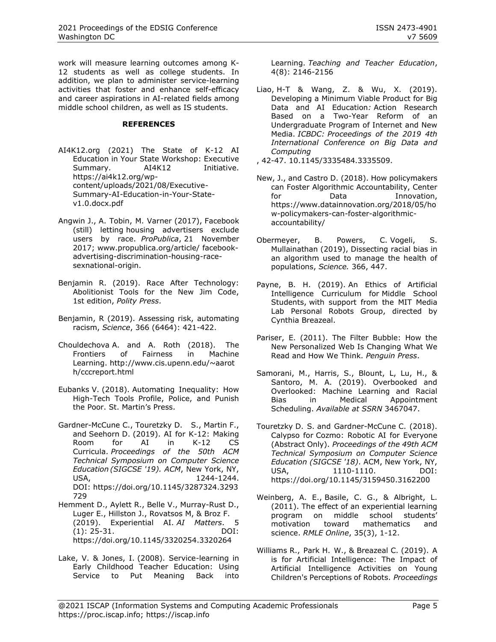work will measure learning outcomes among K-12 students as well as college students. In addition, we plan to administer service-learning activities that foster and enhance self-efficacy and career aspirations in AI-related fields among middle school children, as well as IS students.

#### **REFERENCES**

- AI4K12.org (2021) The State of K-12 AI Education in Your State Workshop: Executive Summary. AI4K12 Initiative. [https://ai4k12.org/wp](https://ai4k12.org/wp-content/uploads/2021/08/Executive-Summary-AI-Education-in-Your-State-v1.0.docx.pdf)[content/uploads/2021/08/Executive-](https://ai4k12.org/wp-content/uploads/2021/08/Executive-Summary-AI-Education-in-Your-State-v1.0.docx.pdf)[Summary-AI-Education-in-Your-State](https://ai4k12.org/wp-content/uploads/2021/08/Executive-Summary-AI-Education-in-Your-State-v1.0.docx.pdf)[v1.0.docx.pdf](https://ai4k12.org/wp-content/uploads/2021/08/Executive-Summary-AI-Education-in-Your-State-v1.0.docx.pdf)
- Angwin J., A. Tobin, M. Varner (2017), Facebook (still) letting housing advertisers exclude users by race. *ProPublica*, 21 November 2017; www.propublica.org/article/ facebookadvertising-discrimination-housing-racesexnational-origin.
- Benjamin R. (2019). Race After Technology: Abolitionist Tools for the New Jim Code, 1st edition, *Polity Press*.
- Benjamin, R (2019). Assessing risk, automating racism, *Science*, 366 (6464): 421-422.
- Chouldechova A. and A. Roth (2018). The Frontiers of Fairness in Machine Learning. [http://www.cis.upenn.edu/~aarot](http://www.cis.upenn.edu/~aaroth/cccreport.html) [h/cccreport.html](http://www.cis.upenn.edu/~aaroth/cccreport.html)
- Eubanks V. (2018). Automating Inequality: How High-Tech Tools Profile, Police, and Punish the Poor. St. Martin's Press.
- Gardner-McCune C., Touretzky D. S., Martin F., and Seehorn D. (2019). AI for K-12: Making Room for AI in K-12 CS Curricula. *Proceedings of the 50th ACM Technical Symposium on Computer Science Education (SIGCSE '19). ACM*, New York, NY, USA, 1244-1244. DOI: [https://doi.org/10.1145/3287324.3293](https://doi.org/10.1145/3287324.3293729) [729](https://doi.org/10.1145/3287324.3293729)
- Hemment D., Aylett R., Belle V., Murray-Rust D., Luger E., Hillston J., Rovatsos M, & Broz F. (2019). Experiential AI. *AI Matters*. 5 (1): 25-31. DOI: https://doi.org/10.1145/3320254.3320264
- Lake, V. & Jones, I. (2008). Service-learning in Early Childhood Teacher Education: Using Service to Put Meaning Back into

Learning. *Teaching and Teacher Education*, 4(8): 2146-2156

Liao, H-T & Wang, Z. & Wu, X. (2019). Developing a Minimum Viable Product for Big Data and AI Education*:* Action Research Based on a Two-Year Reform of an Undergraduate Program of Internet and New Media. *ICBDC: Proceedings of the 2019 4th International Conference on Big Data and Computing*

, 42-47. 10.1145/3335484.3335509.

- New, J., and Castro D. (2018). How policymakers can Foster Algorithmic Accountability, Center for Data Innovation, [https://www.datainnovation.org/2018/05/ho](https://www.datainnovation.org/2018/05/how-policymakers-can-foster-algorithmic-accountability/) [w-policymakers-can-foster-algorithmic](https://www.datainnovation.org/2018/05/how-policymakers-can-foster-algorithmic-accountability/)[accountability/](https://www.datainnovation.org/2018/05/how-policymakers-can-foster-algorithmic-accountability/)
- Obermeyer, B. Powers, C. Vogeli, S. Mullainathan (2019), Dissecting racial bias in an algorithm used to manage the health of populations, *Science.* 366, 447.
- Payne, B. H. (2019). An Ethics of Artificial Intelligence Curriculum for Middle School Students, with support from the MIT Media Lab Personal Robots Group, directed by Cynthia Breazeal.
- Pariser, E. (2011). The Filter Bubble: How the New Personalized Web Is Changing What We Read and How We Think. *Penguin Press*.
- Samorani, M., Harris, S., Blount, L, Lu, H., & Santoro, M. A. (2019). Overbooked and Overlooked: Machine Learning and Racial Bias in Medical Appointment Scheduling. *Available at SSRN* 3467047.
- Touretzky D. S. and Gardner-McCune C. (2018). Calypso for Cozmo: Robotic AI for Everyone (Abstract Only). *Proceedings of the 49th ACM Technical Symposium on Computer Science Education (SIGCSE '18)*. ACM, New York, NY, USA, 1110-1110. DOI: https://doi.org/10.1145/3159450.3162200
- Weinberg, A. E., Basile, C. G., & Albright, L. (2011). The effect of an experiential learning program on middle school students' motivation toward mathematics and science. *RMLE Online*, 35(3), 1-12.
- Williams R., Park H. W., & Breazeal C. (2019). A is for Artificial Intelligence: The Impact of Artificial Intelligence Activities on Young Children's Perceptions of Robots. *Proceedings*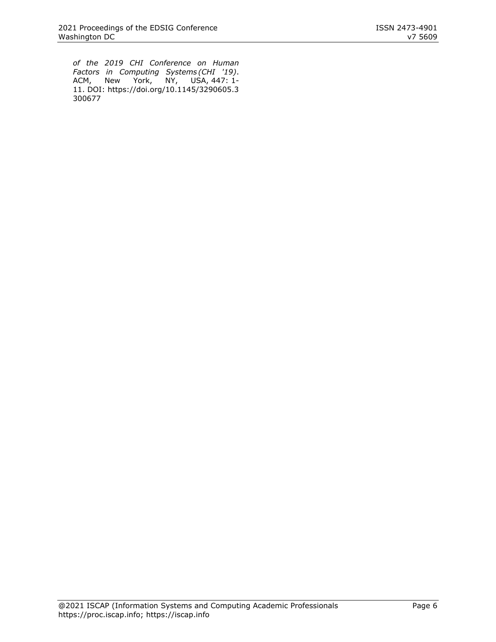*of the 2019 CHI Conference on Human Factors in Computing Systems (CHI '19)*. ACM, New York, NY, USA, 447: 1- 11. DOI: [https://doi.org/10.1145/3290605.3](https://doi.org/10.1145/3290605.3300677) [300677](https://doi.org/10.1145/3290605.3300677)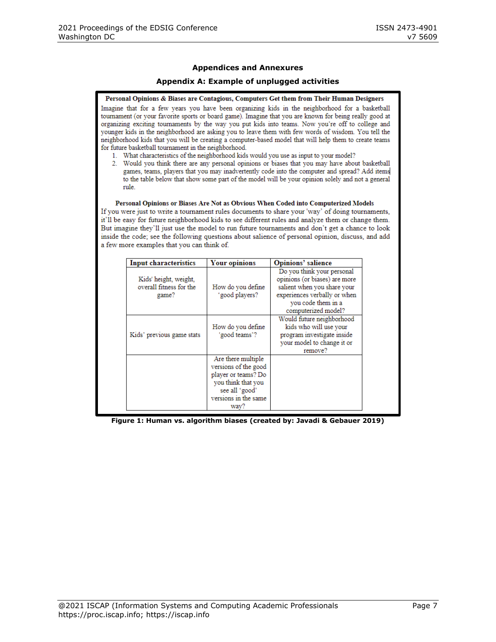#### **Appendices and Annexures**

#### **Appendix A: Example of unplugged activities**

Personal Opinions & Biases are Contagious, Computers Get them from Their Human Designers Imagine that for a few years you have been organizing kids in the neighborhood for a basketball tournament (or your favorite sports or board game). Imagine that you are known for being really good at organizing exciting tournaments by the way you put kids into teams. Now you're off to college and younger kids in the neighborhood are asking you to leave them with few words of wisdom. You tell the neighborhood kids that you will be creating a computer-based model that will help them to create teams for future basketball tournament in the neighborhood.

- 1. What characteristics of the neighborhood kids would you use as input to your model?
- 2. Would you think there are any personal opinions or biases that you may have about basketball games, teams, players that you may inadvertently code into the computer and spread? Add items to the table below that show some part of the model will be your opinion solely and not a general rule.

#### Personal Opinions or Biases Are Not as Obvious When Coded into Computerized Models

If you were just to write a tournament rules documents to share your 'way' of doing tournaments, it'll be easy for future neighborhood kids to see different rules and analyze them or change them. But imagine they'll just use the model to run future tournaments and don't get a chance to look inside the code; see the following questions about salience of personal opinion, discuss, and add a few more examples that you can think of.

| <b>Input characteristics</b>                              | <b>Your opinions</b>                                                                                                                      | <b>Opinions' salience</b>                                                                                                                                               |
|-----------------------------------------------------------|-------------------------------------------------------------------------------------------------------------------------------------------|-------------------------------------------------------------------------------------------------------------------------------------------------------------------------|
| Kids' height, weight,<br>overall fitness for the<br>game? | How do you define<br>'good players?                                                                                                       | Do you think your personal<br>opinions (or biases) are more<br>salient when you share your<br>experiences verbally or when<br>you code them in a<br>computerized model? |
| Kids' previous game stats                                 | How do you define<br>'good teams'?                                                                                                        | Would future neighborhood<br>kids who will use your<br>program investigate inside<br>your model to change it or<br>remove?                                              |
|                                                           | Are there multiple<br>versions of the good<br>player or teams? Do<br>you think that you<br>see all 'good'<br>versions in the same<br>way? |                                                                                                                                                                         |

**Figure 1: Human vs. algorithm biases (created by: Javadi & Gebauer 2019)**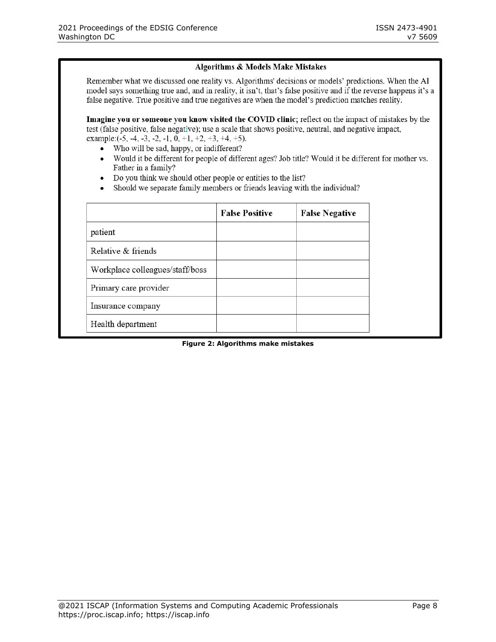#### Algorithms & Models Make Mistakes

Remember what we discussed one reality vs. Algorithms' decisions or models' predictions. When the AI model says something true and, and in reality, it isn't, that's false positive and if the reverse happens it's a false negative. True positive and true negatives are when the model's prediction matches reality.

Imagine you or someone you know visited the COVID clinic; reflect on the impact of mistakes by the test (false positive, false negative); use a scale that shows positive, neutral, and negative impact, example: $(-5, -4, -3, -2, -1, 0, +1, +2, +3, +4, +5)$ .

- Who will be sad, happy, or indifferent?
- Would it be different for people of different ages? Job title? Would it be different for mother vs. Father in a family?
- Do you think we should other people or entities to the list?
- Should we separate family members or friends leaving with the individual?

|                                 | <b>False Positive</b> | <b>False Negative</b> |
|---------------------------------|-----------------------|-----------------------|
| patient                         |                       |                       |
| Relative & friends              |                       |                       |
| Workplace colleagues/staff/boss |                       |                       |
| Primary care provider           |                       |                       |
| Insurance company               |                       |                       |
| Health department               |                       |                       |

#### **Figure 2: Algorithms make mistakes**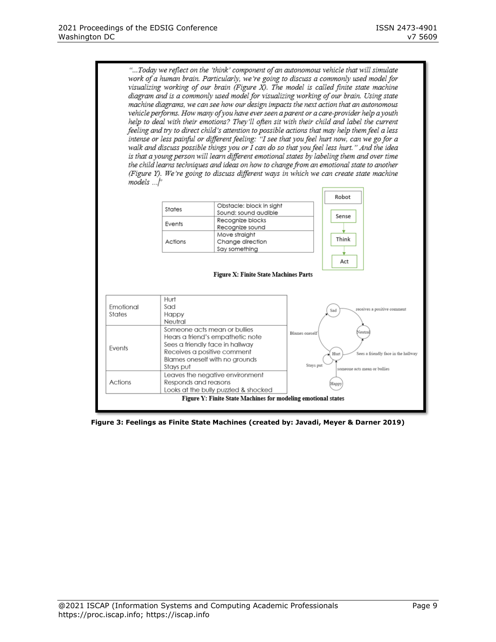"...Today we reflect on the 'think' component of an autonomous vehicle that will simulate work of a human brain. Particularly, we're going to discuss a commonly used model for visualizing working of our brain (Figure X). The model is called finite state machine diagram and is a commonly used model for visualizing working of our brain. Using state machine diagrams, we can see how our design impacts the next action that an autonomous vehicle performs. How many of you have ever seen a parent or a care-provider help a youth help to deal with their emotions? They'll often sit with their child and label the current feeling and try to direct child's attention to possible actions that may help them feel a less intense or less painful or different feeling: "I see that you feel hurt now, can we go for a walk and discuss possible things you or I can do so that you feel less hurt." And the idea is that a young person will learn different emotional states by labeling them and over time the child learns techniques and ideas on how to change from an emotional state to another (Figure Y). We're going to discuss different ways in which we can create state machine  $models \dots |$ 

| States                                        | Obstacle: block in sight<br>Sound: sound audible   |  |
|-----------------------------------------------|----------------------------------------------------|--|
| Recognize blocks<br>Events<br>Recognize sound |                                                    |  |
| Actions                                       | Move straight<br>Change direction<br>Say something |  |



Figure X: Finite State Machines Parts

| Emotional<br>States | Hurt<br>Sad<br>Happy<br>Neutral                                                                                                                                                   | receives a positive comment<br>Sad                                                                                    |
|---------------------|-----------------------------------------------------------------------------------------------------------------------------------------------------------------------------------|-----------------------------------------------------------------------------------------------------------------------|
| Events              | Someone acts mean or bullies<br>Hears a friend's empathetic note<br>Sees a friendly face in hallway<br>Receives a positive comment<br>Blames oneself with no arounds<br>Stays put | Neutral<br>Blames oneself<br>Sees a friendly face in the hallway<br>Hurt<br>Stays put<br>someone acts mean or bullies |
| Actions             | Leaves the negative environment<br>Responds and reasons<br>Looks at the bully puzzled & shocked                                                                                   | (Happy                                                                                                                |

**Figure 3: Feelings as Finite State Machines (created by: Javadi, Meyer & Darner 2019)**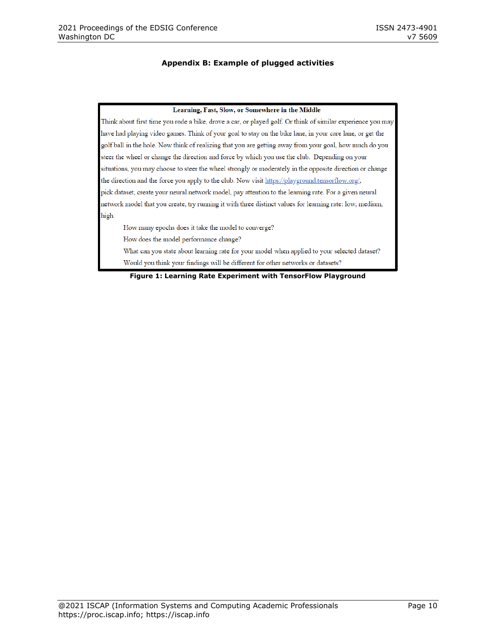#### **Appendix B: Example of plugged activities**

#### Learning, Fast, Slow, or Somewhere in the Middle

Think about first time you rode a bike, drove a car, or played golf. Or think of similar experience you may have had playing video games. Think of your goal to stay on the bike lane, in your care lane, or get the golf ball in the hole. Now think of realizing that you are getting away from your goal, how much do you steer the wheel or change the direction and force by which you use the club. Depending on your situations, you may choose to steer the wheel strongly or moderately in the opposite direction or change the direction and the force you apply to the club. Now visit https://playground.tensorflow.org/, pick dataset, create your neural network model, pay attention to the learning rate. For a given neural network model that you create, try running it with three distinct values for learning rate: low, medium, high.

How many epochs does it take the model to converge?

How does the model performance change?

What can you state about learning rate for your model when applied to your selected dataset? Would you think your findings will be different for other networks or datasets?

**Figure 1: Learning Rate Experiment with TensorFlow Playground**